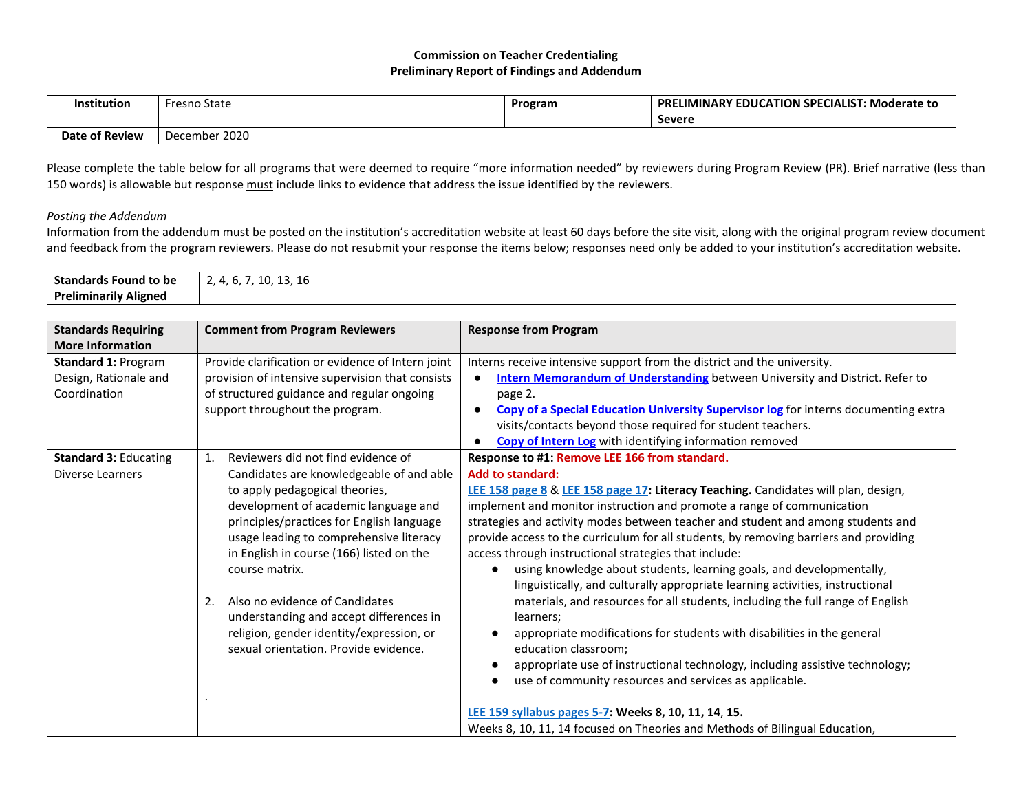## **Commission on Teacher Credentialing Preliminary Report of Findings and Addendum**

| <b>Institution</b>    | <b>Fresno State</b> | Program | <b>PRELIMINARY EDUCATION SPECIALIST: Moderate to</b><br><b>Severe</b> |
|-----------------------|---------------------|---------|-----------------------------------------------------------------------|
| <b>Date of Review</b> | December 2020       |         |                                                                       |

Please complete the table below for all programs that were deemed to require "more information needed" by reviewers during Program Review (PR). Brief narrative (less than 150 words) is allowable but response must include links to evidence that address the issue identified by the reviewers.

## *Posting the Addendum*

Information from the addendum must be posted on the institution's accreditation website at least 60 days before the site visit, along with the original program review document and feedback from the program reviewers. Please do not resubmit your response the items below; responses need only be added to your institution's accreditation website.

| <b>Standards Found to be</b><br><b>Preliminarily Aligned</b> | 2, 4, 6, 7, 10, 13, 16                               |                                                                                                  |
|--------------------------------------------------------------|------------------------------------------------------|--------------------------------------------------------------------------------------------------|
|                                                              |                                                      |                                                                                                  |
| <b>Standards Requiring</b>                                   | <b>Comment from Program Reviewers</b>                | <b>Response from Program</b>                                                                     |
| <b>More Information</b>                                      |                                                      |                                                                                                  |
| <b>Standard 1: Program</b>                                   | Provide clarification or evidence of Intern joint    | Interns receive intensive support from the district and the university.                          |
| Design, Rationale and                                        | provision of intensive supervision that consists     | <b>Intern Memorandum of Understanding</b> between University and District. Refer to              |
| Coordination                                                 | of structured guidance and regular ongoing           | page 2.                                                                                          |
|                                                              | support throughout the program.                      | Copy of a Special Education University Supervisor log for interns documenting extra<br>$\bullet$ |
|                                                              |                                                      | visits/contacts beyond those required for student teachers.                                      |
|                                                              |                                                      | Copy of Intern Log with identifying information removed                                          |
| <b>Standard 3: Educating</b>                                 | Reviewers did not find evidence of<br>$\mathbf{1}$ . | Response to #1: Remove LEE 166 from standard.                                                    |
| <b>Diverse Learners</b>                                      | Candidates are knowledgeable of and able             | <b>Add to standard:</b>                                                                          |
|                                                              | to apply pedagogical theories,                       | LEE 158 page 8 & LEE 158 page 17: Literacy Teaching. Candidates will plan, design,               |
|                                                              | development of academic language and                 | implement and monitor instruction and promote a range of communication                           |
|                                                              | principles/practices for English language            | strategies and activity modes between teacher and student and among students and                 |
|                                                              | usage leading to comprehensive literacy              | provide access to the curriculum for all students, by removing barriers and providing            |
|                                                              | in English in course (166) listed on the             | access through instructional strategies that include:                                            |
|                                                              | course matrix.                                       | using knowledge about students, learning goals, and developmentally,                             |
|                                                              |                                                      | linguistically, and culturally appropriate learning activities, instructional                    |
|                                                              | Also no evidence of Candidates<br>2.                 | materials, and resources for all students, including the full range of English                   |
|                                                              | understanding and accept differences in              | learners;                                                                                        |
|                                                              | religion, gender identity/expression, or             | appropriate modifications for students with disabilities in the general                          |
|                                                              | sexual orientation. Provide evidence.                | education classroom;                                                                             |
|                                                              |                                                      | appropriate use of instructional technology, including assistive technology;                     |
|                                                              |                                                      | use of community resources and services as applicable.                                           |
|                                                              |                                                      |                                                                                                  |
|                                                              |                                                      | LEE 159 syllabus pages 5-7: Weeks 8, 10, 11, 14, 15.                                             |
|                                                              |                                                      | Weeks 8, 10, 11, 14 focused on Theories and Methods of Bilingual Education,                      |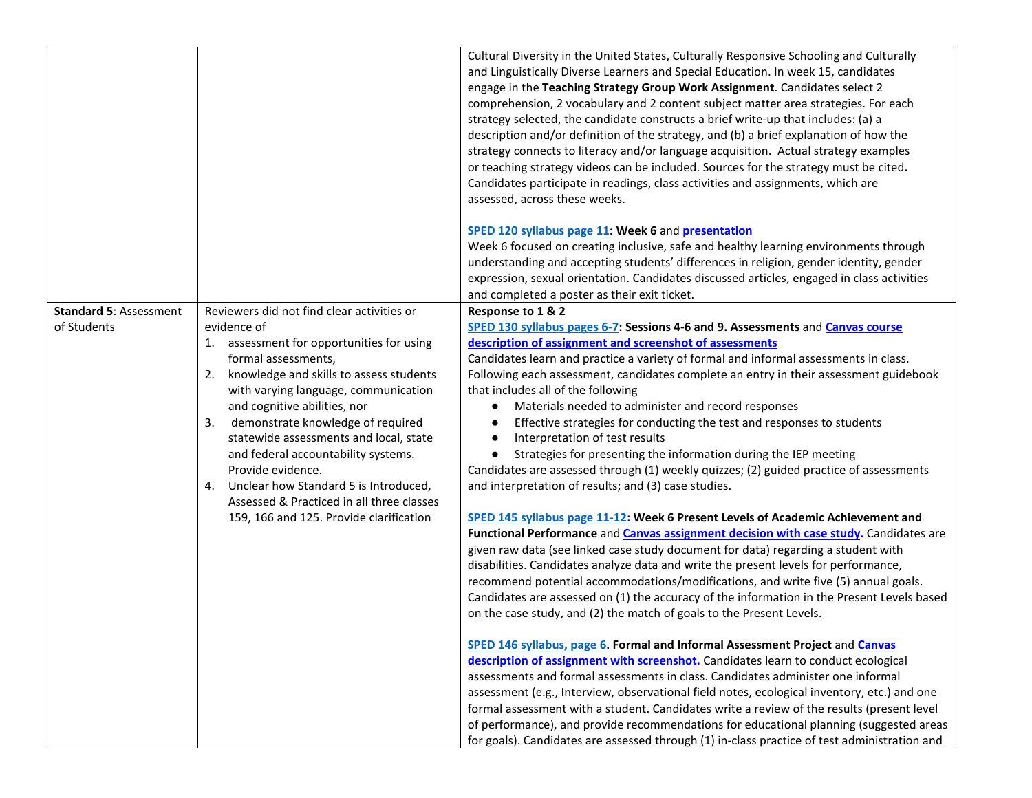|                                              |                                                                                                                                                                                                                                                                                                                                                                                                                                                                                                                                          | Cultural Diversity in the United States, Culturally Responsive Schooling and Culturally<br>and Linguistically Diverse Learners and Special Education. In week 15, candidates<br>engage in the Teaching Strategy Group Work Assignment. Candidates select 2<br>comprehension, 2 vocabulary and 2 content subject matter area strategies. For each<br>strategy selected, the candidate constructs a brief write-up that includes: (a) a<br>description and/or definition of the strategy, and (b) a brief explanation of how the<br>strategy connects to literacy and/or language acquisition. Actual strategy examples<br>or teaching strategy videos can be included. Sources for the strategy must be cited.<br>Candidates participate in readings, class activities and assignments, which are<br>assessed, across these weeks.                                                                                                                                                                                                                                                                                                                                                                                                                                                                                                                                                                                                                                                                                                                                                                                                                                                                                                                                                                                                                                                                                                                                                                                                                |
|----------------------------------------------|------------------------------------------------------------------------------------------------------------------------------------------------------------------------------------------------------------------------------------------------------------------------------------------------------------------------------------------------------------------------------------------------------------------------------------------------------------------------------------------------------------------------------------------|--------------------------------------------------------------------------------------------------------------------------------------------------------------------------------------------------------------------------------------------------------------------------------------------------------------------------------------------------------------------------------------------------------------------------------------------------------------------------------------------------------------------------------------------------------------------------------------------------------------------------------------------------------------------------------------------------------------------------------------------------------------------------------------------------------------------------------------------------------------------------------------------------------------------------------------------------------------------------------------------------------------------------------------------------------------------------------------------------------------------------------------------------------------------------------------------------------------------------------------------------------------------------------------------------------------------------------------------------------------------------------------------------------------------------------------------------------------------------------------------------------------------------------------------------------------------------------------------------------------------------------------------------------------------------------------------------------------------------------------------------------------------------------------------------------------------------------------------------------------------------------------------------------------------------------------------------------------------------------------------------------------------------------------------------|
|                                              |                                                                                                                                                                                                                                                                                                                                                                                                                                                                                                                                          | SPED 120 syllabus page 11: Week 6 and presentation<br>Week 6 focused on creating inclusive, safe and healthy learning environments through<br>understanding and accepting students' differences in religion, gender identity, gender<br>expression, sexual orientation. Candidates discussed articles, engaged in class activities<br>and completed a poster as their exit ticket.                                                                                                                                                                                                                                                                                                                                                                                                                                                                                                                                                                                                                                                                                                                                                                                                                                                                                                                                                                                                                                                                                                                                                                                                                                                                                                                                                                                                                                                                                                                                                                                                                                                               |
| <b>Standard 5: Assessment</b><br>of Students | Reviewers did not find clear activities or<br>evidence of<br>1. assessment for opportunities for using<br>formal assessments,<br>2. knowledge and skills to assess students<br>with varying language, communication<br>and cognitive abilities, nor<br>demonstrate knowledge of required<br>3.<br>statewide assessments and local, state<br>and federal accountability systems.<br>Provide evidence.<br>4. Unclear how Standard 5 is Introduced,<br>Assessed & Practiced in all three classes<br>159, 166 and 125. Provide clarification | Response to 1 & 2<br>SPED 130 syllabus pages 6-7: Sessions 4-6 and 9. Assessments and Canvas course<br>description of assignment and screenshot of assessments<br>Candidates learn and practice a variety of formal and informal assessments in class.<br>Following each assessment, candidates complete an entry in their assessment guidebook<br>that includes all of the following<br>Materials needed to administer and record responses<br>Effective strategies for conducting the test and responses to students<br>Interpretation of test results<br>Strategies for presenting the information during the IEP meeting<br>Candidates are assessed through (1) weekly quizzes; (2) guided practice of assessments<br>and interpretation of results; and (3) case studies.<br>SPED 145 syllabus page 11-12: Week 6 Present Levels of Academic Achievement and<br>Functional Performance and Canvas assignment decision with case study. Candidates are<br>given raw data (see linked case study document for data) regarding a student with<br>disabilities. Candidates analyze data and write the present levels for performance,<br>recommend potential accommodations/modifications, and write five (5) annual goals.<br>Candidates are assessed on (1) the accuracy of the information in the Present Levels based<br>on the case study, and (2) the match of goals to the Present Levels.<br>SPED 146 syllabus, page 6. Formal and Informal Assessment Project and Canvas<br>description of assignment with screenshot. Candidates learn to conduct ecological<br>assessments and formal assessments in class. Candidates administer one informal<br>assessment (e.g., Interview, observational field notes, ecological inventory, etc.) and one<br>formal assessment with a student. Candidates write a review of the results (present level<br>of performance), and provide recommendations for educational planning (suggested areas<br>for goals). Candidates are assessed through (1) in-class practice of test administration and |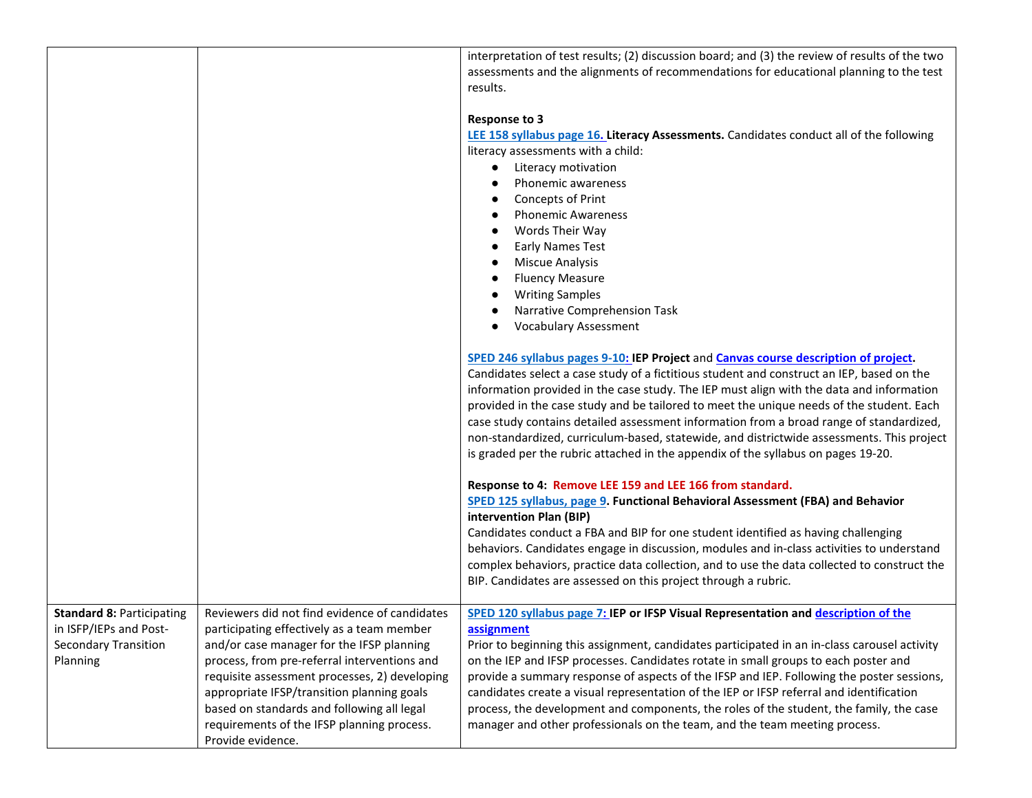|                                                                                                       |                                                                                                                                                                                                                                                                                                                                                                                                          | interpretation of test results; (2) discussion board; and (3) the review of results of the two<br>assessments and the alignments of recommendations for educational planning to the test<br>results.                                                                                                                                                                                                                                                                                                                                                                                                                                                      |
|-------------------------------------------------------------------------------------------------------|----------------------------------------------------------------------------------------------------------------------------------------------------------------------------------------------------------------------------------------------------------------------------------------------------------------------------------------------------------------------------------------------------------|-----------------------------------------------------------------------------------------------------------------------------------------------------------------------------------------------------------------------------------------------------------------------------------------------------------------------------------------------------------------------------------------------------------------------------------------------------------------------------------------------------------------------------------------------------------------------------------------------------------------------------------------------------------|
|                                                                                                       |                                                                                                                                                                                                                                                                                                                                                                                                          | <b>Response to 3</b><br>LEE 158 syllabus page 16. Literacy Assessments. Candidates conduct all of the following<br>literacy assessments with a child:<br>Literacy motivation<br>Phonemic awareness<br>Concepts of Print<br><b>Phonemic Awareness</b><br>Words Their Way<br><b>Early Names Test</b><br><b>Miscue Analysis</b><br><b>Fluency Measure</b><br><b>Writing Samples</b><br>Narrative Comprehension Task<br><b>Vocabulary Assessment</b><br>SPED 246 syllabus pages 9-10: IEP Project and Canvas course description of project.<br>Candidates select a case study of a fictitious student and construct an IEP, based on the                      |
|                                                                                                       |                                                                                                                                                                                                                                                                                                                                                                                                          | information provided in the case study. The IEP must align with the data and information<br>provided in the case study and be tailored to meet the unique needs of the student. Each<br>case study contains detailed assessment information from a broad range of standardized,<br>non-standardized, curriculum-based, statewide, and districtwide assessments. This project<br>is graded per the rubric attached in the appendix of the syllabus on pages 19-20.                                                                                                                                                                                         |
|                                                                                                       |                                                                                                                                                                                                                                                                                                                                                                                                          | Response to 4: Remove LEE 159 and LEE 166 from standard.<br>SPED 125 syllabus, page 9. Functional Behavioral Assessment (FBA) and Behavior<br>intervention Plan (BIP)<br>Candidates conduct a FBA and BIP for one student identified as having challenging<br>behaviors. Candidates engage in discussion, modules and in-class activities to understand<br>complex behaviors, practice data collection, and to use the data collected to construct the<br>BIP. Candidates are assessed on this project through a rubric.                                                                                                                                  |
| <b>Standard 8: Participating</b><br>in ISFP/IEPs and Post-<br><b>Secondary Transition</b><br>Planning | Reviewers did not find evidence of candidates<br>participating effectively as a team member<br>and/or case manager for the IFSP planning<br>process, from pre-referral interventions and<br>requisite assessment processes, 2) developing<br>appropriate IFSP/transition planning goals<br>based on standards and following all legal<br>requirements of the IFSP planning process.<br>Provide evidence. | SPED 120 syllabus page 7: IEP or IFSP Visual Representation and description of the<br>assignment<br>Prior to beginning this assignment, candidates participated in an in-class carousel activity<br>on the IEP and IFSP processes. Candidates rotate in small groups to each poster and<br>provide a summary response of aspects of the IFSP and IEP. Following the poster sessions,<br>candidates create a visual representation of the IEP or IFSP referral and identification<br>process, the development and components, the roles of the student, the family, the case<br>manager and other professionals on the team, and the team meeting process. |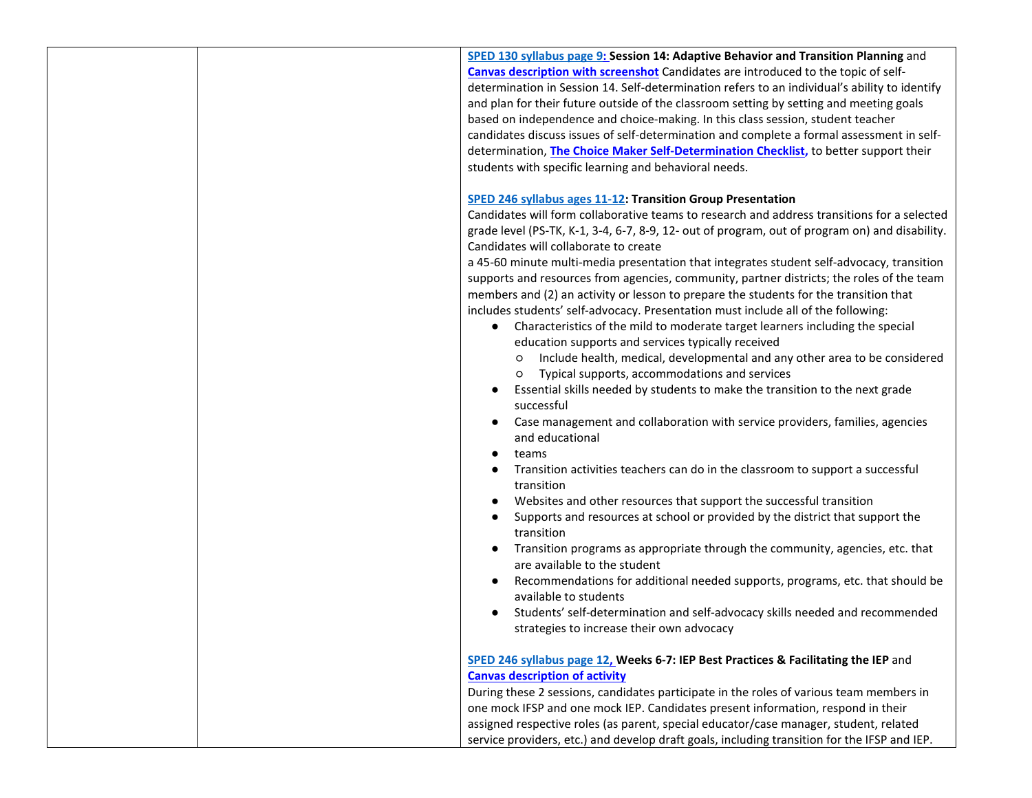**[SPED 130 syllabus page 9:](https://kremen.fresnostate.edu/about/cctc/documents/sped/SPED130.pdf#page=9) Session 14: Adaptive Behavior and Transition Planning** and **[Canvas description with screenshot](https://docs.google.com/document/d/14g4DrZeKBGBCz0pmZbn3MGew_rfm1UMFa5yOBIG16lM/edit?usp=sharing)** Candidates are introduced to the topic of selfdetermination in Session 14. Self-determination refers to an individual's ability to identify and plan for their future outside of the classroom setting by setting and meeting goals based on independence and choice-making. In this class session, student teacher candidates discuss issues of self-determination and complete a formal assessment in selfdetermination, **[The Choice Maker Self-Determination Checklist,](https://www.ou.edu/education/centers-and-partnerships/zarrow/self-determination-assessment-tools/choicemaker-self-determination-assessment)** to better support their students with specific learning and behavioral needs.

## **[SPED 246 syllabus ages 11-12:](https://kremen.fresnostate.edu/about/cctc/documents/sped/SPED246.pdf#page=11) Transition Group Presentation**

Candidates will form collaborative teams to research and address transitions for a selected grade level (PS-TK, K-1, 3-4, 6-7, 8-9, 12- out of program, out of program on) and disability. Candidates will collaborate to create

a 45-60 minute multi-media presentation that integrates student self-advocacy, transition supports and resources from agencies, community, partner districts; the roles of the team members and (2) an activity or lesson to prepare the students for the transition that includes students' self-advocacy. Presentation must include all of the following:

- Characteristics of the mild to moderate target learners including the special education supports and services typically received
	- Include health, medical, developmental and any other area to be considered
	- Typical supports, accommodations and services
- Essential skills needed by students to make the transition to the next grade successful
- Case management and collaboration with service providers, families, agencies and educational
- teams
- Transition activities teachers can do in the classroom to support a successful transition
- Websites and other resources that support the successful transition
- Supports and resources at school or provided by the district that support the transition
- Transition programs as appropriate through the community, agencies, etc. that are available to the student
- Recommendations for additional needed supports, programs, etc. that should be available to students
- Students' self-determination and self-advocacy skills needed and recommended strategies to increase their own advocacy

## **[SPED 246 syllabus page](https://kremen.fresnostate.edu/about/cctc/documents/sped/SPED246.pdf#page=12) 12, Weeks 6-7: IEP Best Practices & Facilitating the IEP** and **[Canvas description of activity](https://docs.google.com/document/d/1kO19gyel8x-wqmV2rSa5zeTkG1NqezsDrJw4sSAKP68/edit?usp=sharing)**

During these 2 sessions, candidates participate in the roles of various team members in one mock IFSP and one mock IEP. Candidates present information, respond in their assigned respective roles (as parent, special educator/case manager, student, related service providers, etc.) and develop draft goals, including transition for the IFSP and IEP.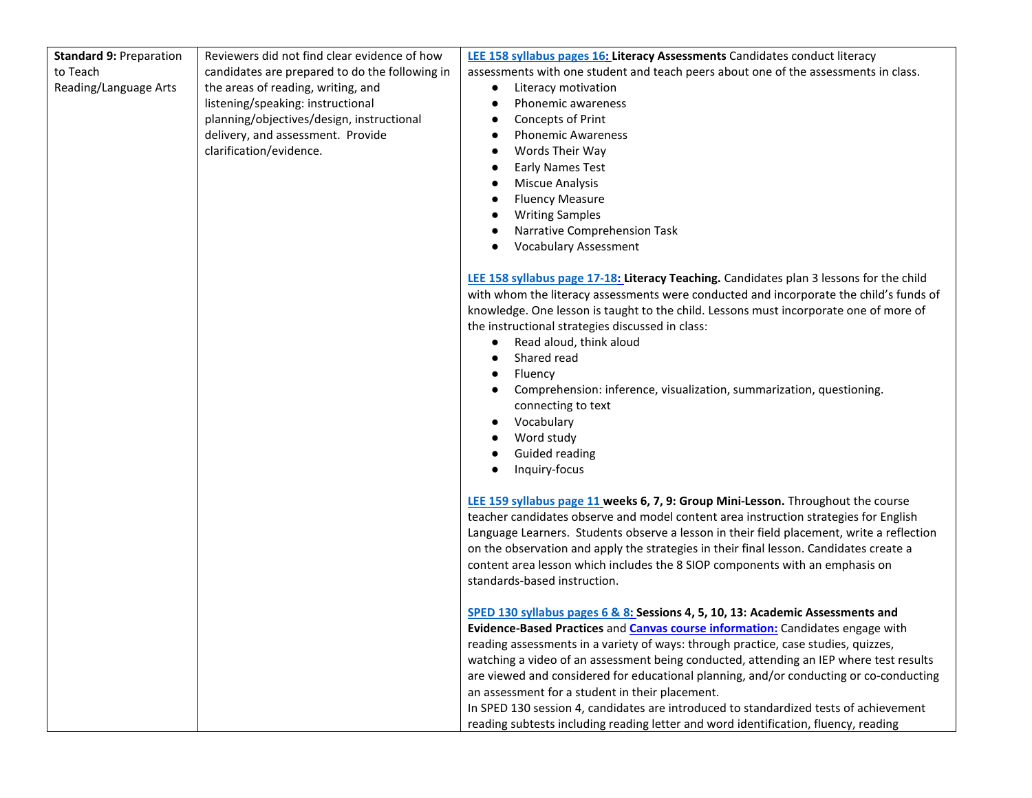| <b>Standard 9: Preparation</b> | Reviewers did not find clear evidence of how   | LEE 158 syllabus pages 16: Literacy Assessments Candidates conduct literacy                                                                                                                                                                                                                                                                                                                                                                                                                                                                                                                          |
|--------------------------------|------------------------------------------------|------------------------------------------------------------------------------------------------------------------------------------------------------------------------------------------------------------------------------------------------------------------------------------------------------------------------------------------------------------------------------------------------------------------------------------------------------------------------------------------------------------------------------------------------------------------------------------------------------|
| to Teach                       | candidates are prepared to do the following in | assessments with one student and teach peers about one of the assessments in class.                                                                                                                                                                                                                                                                                                                                                                                                                                                                                                                  |
| Reading/Language Arts          | the areas of reading, writing, and             | Literacy motivation                                                                                                                                                                                                                                                                                                                                                                                                                                                                                                                                                                                  |
|                                | listening/speaking: instructional              | Phonemic awareness                                                                                                                                                                                                                                                                                                                                                                                                                                                                                                                                                                                   |
|                                | planning/objectives/design, instructional      | Concepts of Print                                                                                                                                                                                                                                                                                                                                                                                                                                                                                                                                                                                    |
|                                | delivery, and assessment. Provide              | <b>Phonemic Awareness</b><br>$\bullet$                                                                                                                                                                                                                                                                                                                                                                                                                                                                                                                                                               |
|                                | clarification/evidence.                        | Words Their Way                                                                                                                                                                                                                                                                                                                                                                                                                                                                                                                                                                                      |
|                                |                                                | <b>Early Names Test</b>                                                                                                                                                                                                                                                                                                                                                                                                                                                                                                                                                                              |
|                                |                                                | <b>Miscue Analysis</b>                                                                                                                                                                                                                                                                                                                                                                                                                                                                                                                                                                               |
|                                |                                                | <b>Fluency Measure</b>                                                                                                                                                                                                                                                                                                                                                                                                                                                                                                                                                                               |
|                                |                                                | <b>Writing Samples</b>                                                                                                                                                                                                                                                                                                                                                                                                                                                                                                                                                                               |
|                                |                                                | Narrative Comprehension Task                                                                                                                                                                                                                                                                                                                                                                                                                                                                                                                                                                         |
|                                |                                                | <b>Vocabulary Assessment</b>                                                                                                                                                                                                                                                                                                                                                                                                                                                                                                                                                                         |
|                                |                                                | LEE 158 syllabus page 17-18: Literacy Teaching. Candidates plan 3 lessons for the child<br>with whom the literacy assessments were conducted and incorporate the child's funds of<br>knowledge. One lesson is taught to the child. Lessons must incorporate one of more of<br>the instructional strategies discussed in class:<br>Read aloud, think aloud<br>$\bullet$<br>Shared read<br>$\bullet$<br>Fluency<br>$\bullet$<br>Comprehension: inference, visualization, summarization, questioning.<br>connecting to text<br>Vocabulary<br>Word study<br>Guided reading<br>Inquiry-focus<br>$\bullet$ |
|                                |                                                | LEE 159 syllabus page 11 weeks 6, 7, 9: Group Mini-Lesson. Throughout the course                                                                                                                                                                                                                                                                                                                                                                                                                                                                                                                     |
|                                |                                                | teacher candidates observe and model content area instruction strategies for English                                                                                                                                                                                                                                                                                                                                                                                                                                                                                                                 |
|                                |                                                | Language Learners. Students observe a lesson in their field placement, write a reflection                                                                                                                                                                                                                                                                                                                                                                                                                                                                                                            |
|                                |                                                | on the observation and apply the strategies in their final lesson. Candidates create a                                                                                                                                                                                                                                                                                                                                                                                                                                                                                                               |
|                                |                                                | content area lesson which includes the 8 SIOP components with an emphasis on                                                                                                                                                                                                                                                                                                                                                                                                                                                                                                                         |
|                                |                                                | standards-based instruction.                                                                                                                                                                                                                                                                                                                                                                                                                                                                                                                                                                         |
|                                |                                                | SPED 130 syllabus pages 6 & 8: Sessions 4, 5, 10, 13: Academic Assessments and                                                                                                                                                                                                                                                                                                                                                                                                                                                                                                                       |
|                                |                                                | Evidence-Based Practices and Canvas course information: Candidates engage with                                                                                                                                                                                                                                                                                                                                                                                                                                                                                                                       |
|                                |                                                | reading assessments in a variety of ways: through practice, case studies, quizzes,                                                                                                                                                                                                                                                                                                                                                                                                                                                                                                                   |
|                                |                                                | watching a video of an assessment being conducted, attending an IEP where test results                                                                                                                                                                                                                                                                                                                                                                                                                                                                                                               |
|                                |                                                | are viewed and considered for educational planning, and/or conducting or co-conducting                                                                                                                                                                                                                                                                                                                                                                                                                                                                                                               |
|                                |                                                | an assessment for a student in their placement.                                                                                                                                                                                                                                                                                                                                                                                                                                                                                                                                                      |
|                                |                                                | In SPED 130 session 4, candidates are introduced to standardized tests of achievement                                                                                                                                                                                                                                                                                                                                                                                                                                                                                                                |
|                                |                                                | reading subtests including reading letter and word identification, fluency, reading                                                                                                                                                                                                                                                                                                                                                                                                                                                                                                                  |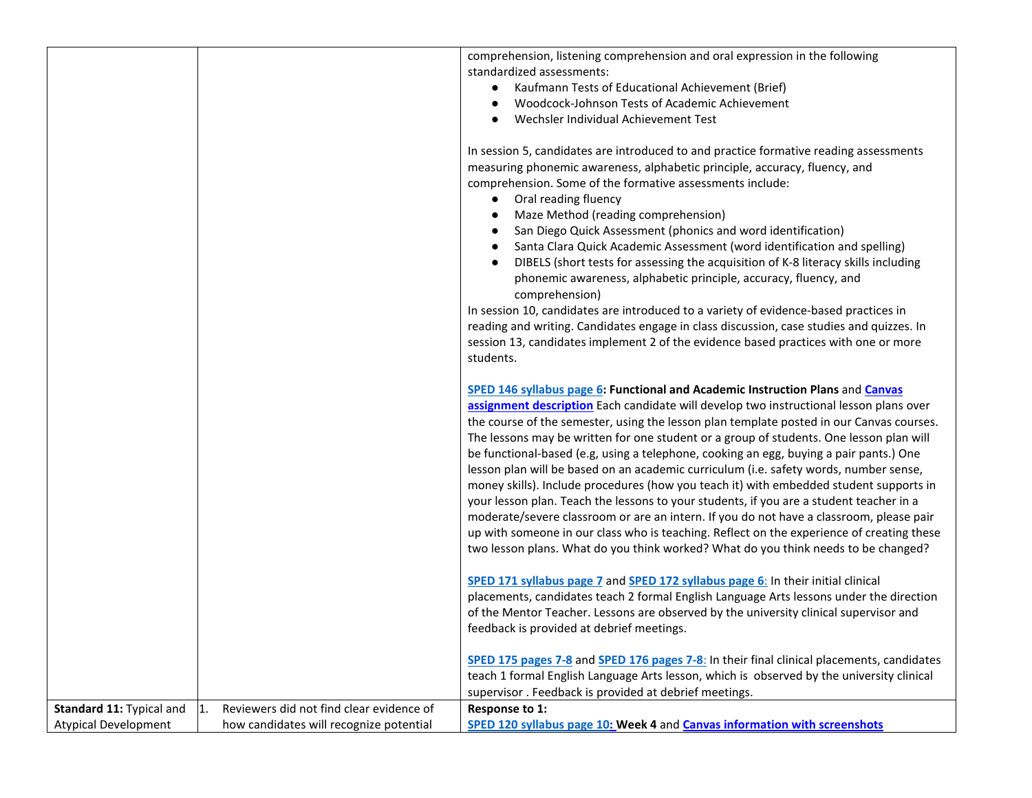|                                |                                          | comprehension, listening comprehension and oral expression in the following<br>standardized assessments:<br>Kaufmann Tests of Educational Achievement (Brief)<br>Woodcock-Johnson Tests of Academic Achievement<br>Wechsler Individual Achievement Test                                                                                                                                                                                                                                                                                                                                                                                                                                                                                                                                                                                                                                                                                                                                                               |
|--------------------------------|------------------------------------------|-----------------------------------------------------------------------------------------------------------------------------------------------------------------------------------------------------------------------------------------------------------------------------------------------------------------------------------------------------------------------------------------------------------------------------------------------------------------------------------------------------------------------------------------------------------------------------------------------------------------------------------------------------------------------------------------------------------------------------------------------------------------------------------------------------------------------------------------------------------------------------------------------------------------------------------------------------------------------------------------------------------------------|
|                                |                                          | In session 5, candidates are introduced to and practice formative reading assessments<br>measuring phonemic awareness, alphabetic principle, accuracy, fluency, and<br>comprehension. Some of the formative assessments include:<br>Oral reading fluency<br>Maze Method (reading comprehension)<br>San Diego Quick Assessment (phonics and word identification)<br>Santa Clara Quick Academic Assessment (word identification and spelling)<br>DIBELS (short tests for assessing the acquisition of K-8 literacy skills including<br>phonemic awareness, alphabetic principle, accuracy, fluency, and<br>comprehension)<br>In session 10, candidates are introduced to a variety of evidence-based practices in<br>reading and writing. Candidates engage in class discussion, case studies and quizzes. In<br>session 13, candidates implement 2 of the evidence based practices with one or more<br>students.                                                                                                       |
|                                |                                          | SPED 146 syllabus page 6: Functional and Academic Instruction Plans and Canvas<br>assignment description Each candidate will develop two instructional lesson plans over<br>the course of the semester, using the lesson plan template posted in our Canvas courses.<br>The lessons may be written for one student or a group of students. One lesson plan will<br>be functional-based (e.g, using a telephone, cooking an egg, buying a pair pants.) One<br>lesson plan will be based on an academic curriculum (i.e. safety words, number sense,<br>money skills). Include procedures (how you teach it) with embedded student supports in<br>your lesson plan. Teach the lessons to your students, if you are a student teacher in a<br>moderate/severe classroom or are an intern. If you do not have a classroom, please pair<br>up with someone in our class who is teaching. Reflect on the experience of creating these<br>two lesson plans. What do you think worked? What do you think needs to be changed? |
|                                |                                          | SPED 171 syllabus page 7 and SPED 172 syllabus page 6: In their initial clinical<br>placements, candidates teach 2 formal English Language Arts lessons under the direction<br>of the Mentor Teacher. Lessons are observed by the university clinical supervisor and<br>feedback is provided at debrief meetings.                                                                                                                                                                                                                                                                                                                                                                                                                                                                                                                                                                                                                                                                                                     |
|                                |                                          | SPED 175 pages 7-8 and SPED 176 pages 7-8: In their final clinical placements, candidates<br>teach 1 formal English Language Arts lesson, which is observed by the university clinical<br>supervisor. Feedback is provided at debrief meetings.                                                                                                                                                                                                                                                                                                                                                                                                                                                                                                                                                                                                                                                                                                                                                                       |
| Standard 11: Typical and<br>1. | Reviewers did not find clear evidence of | Response to 1:                                                                                                                                                                                                                                                                                                                                                                                                                                                                                                                                                                                                                                                                                                                                                                                                                                                                                                                                                                                                        |
| <b>Atypical Development</b>    | how candidates will recognize potential  | SPED 120 syllabus page 10: Week 4 and Canvas information with screenshots                                                                                                                                                                                                                                                                                                                                                                                                                                                                                                                                                                                                                                                                                                                                                                                                                                                                                                                                             |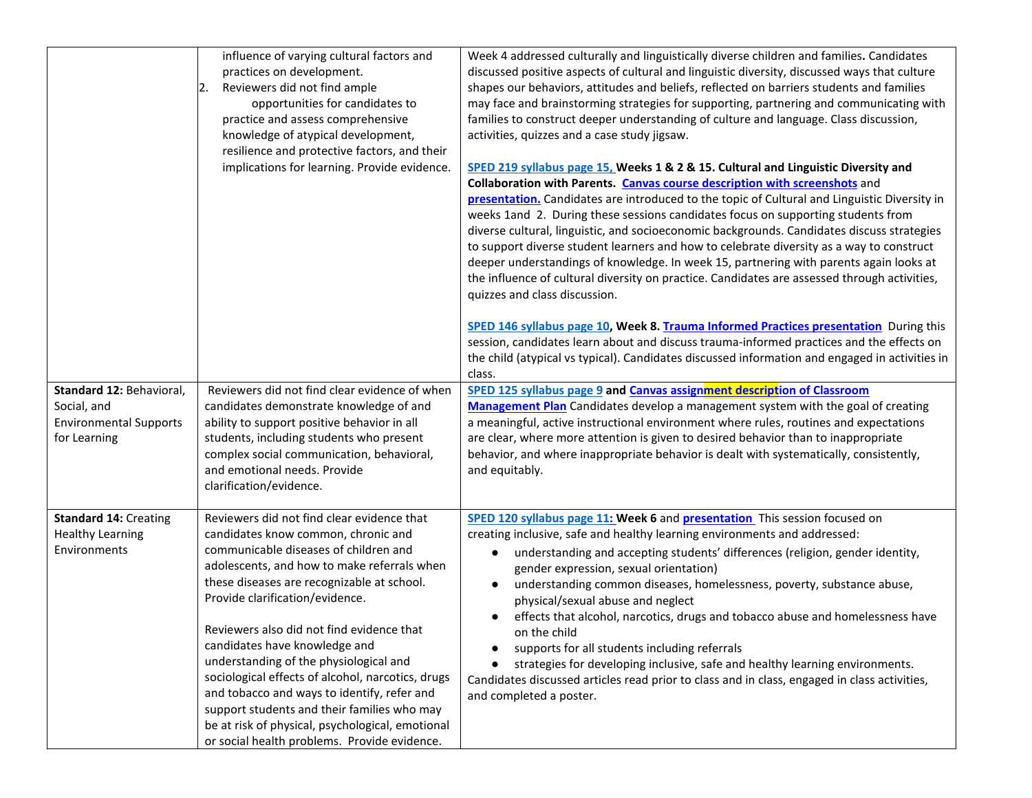| Standard 12: Behavioral,<br>Social, and<br><b>Environmental Supports</b><br>for Learning | influence of varying cultural factors and<br>practices on development.<br>Reviewers did not find ample<br>2.<br>opportunities for candidates to<br>practice and assess comprehensive<br>knowledge of atypical development,<br>resilience and protective factors, and their<br>implications for learning. Provide evidence.<br>Reviewers did not find clear evidence of when<br>candidates demonstrate knowledge of and<br>ability to support positive behavior in all<br>students, including students who present<br>complex social communication, behavioral,<br>and emotional needs. Provide<br>clarification/evidence.                 | Week 4 addressed culturally and linguistically diverse children and families. Candidates<br>discussed positive aspects of cultural and linguistic diversity, discussed ways that culture<br>shapes our behaviors, attitudes and beliefs, reflected on barriers students and families<br>may face and brainstorming strategies for supporting, partnering and communicating with<br>families to construct deeper understanding of culture and language. Class discussion,<br>activities, quizzes and a case study jigsaw.<br>SPED 219 syllabus page 15, Weeks 1 & 2 & 15. Cultural and Linguistic Diversity and<br>Collaboration with Parents. Canvas course description with screenshots and<br>presentation. Candidates are introduced to the topic of Cultural and Linguistic Diversity in<br>weeks 1and 2. During these sessions candidates focus on supporting students from<br>diverse cultural, linguistic, and socioeconomic backgrounds. Candidates discuss strategies<br>to support diverse student learners and how to celebrate diversity as a way to construct<br>deeper understandings of knowledge. In week 15, partnering with parents again looks at<br>the influence of cultural diversity on practice. Candidates are assessed through activities,<br>quizzes and class discussion.<br>SPED 146 syllabus page 10, Week 8. Trauma Informed Practices presentation During this<br>session, candidates learn about and discuss trauma-informed practices and the effects on<br>the child (atypical vs typical). Candidates discussed information and engaged in activities in<br>class.<br>SPED 125 syllabus page 9 and Canvas assignment description of Classroom<br>Management Plan Candidates develop a management system with the goal of creating<br>a meaningful, active instructional environment where rules, routines and expectations<br>are clear, where more attention is given to desired behavior than to inappropriate<br>behavior, and where inappropriate behavior is dealt with systematically, consistently,<br>and equitably. |
|------------------------------------------------------------------------------------------|-------------------------------------------------------------------------------------------------------------------------------------------------------------------------------------------------------------------------------------------------------------------------------------------------------------------------------------------------------------------------------------------------------------------------------------------------------------------------------------------------------------------------------------------------------------------------------------------------------------------------------------------|------------------------------------------------------------------------------------------------------------------------------------------------------------------------------------------------------------------------------------------------------------------------------------------------------------------------------------------------------------------------------------------------------------------------------------------------------------------------------------------------------------------------------------------------------------------------------------------------------------------------------------------------------------------------------------------------------------------------------------------------------------------------------------------------------------------------------------------------------------------------------------------------------------------------------------------------------------------------------------------------------------------------------------------------------------------------------------------------------------------------------------------------------------------------------------------------------------------------------------------------------------------------------------------------------------------------------------------------------------------------------------------------------------------------------------------------------------------------------------------------------------------------------------------------------------------------------------------------------------------------------------------------------------------------------------------------------------------------------------------------------------------------------------------------------------------------------------------------------------------------------------------------------------------------------------------------------------------------------------------------------------------------------------------------------------------|
| <b>Standard 14: Creating</b><br><b>Healthy Learning</b><br>Environments                  | Reviewers did not find clear evidence that<br>candidates know common, chronic and<br>communicable diseases of children and<br>adolescents, and how to make referrals when<br>these diseases are recognizable at school.<br>Provide clarification/evidence.<br>Reviewers also did not find evidence that<br>candidates have knowledge and<br>understanding of the physiological and<br>sociological effects of alcohol, narcotics, drugs<br>and tobacco and ways to identify, refer and<br>support students and their families who may<br>be at risk of physical, psychological, emotional<br>or social health problems. Provide evidence. | SPED 120 syllabus page 11: Week 6 and presentation This session focused on<br>creating inclusive, safe and healthy learning environments and addressed:<br>understanding and accepting students' differences (religion, gender identity,<br>$\bullet$<br>gender expression, sexual orientation)<br>understanding common diseases, homelessness, poverty, substance abuse,<br>physical/sexual abuse and neglect<br>effects that alcohol, narcotics, drugs and tobacco abuse and homelessness have<br>on the child<br>supports for all students including referrals<br>strategies for developing inclusive, safe and healthy learning environments.<br>Candidates discussed articles read prior to class and in class, engaged in class activities,<br>and completed a poster.                                                                                                                                                                                                                                                                                                                                                                                                                                                                                                                                                                                                                                                                                                                                                                                                                                                                                                                                                                                                                                                                                                                                                                                                                                                                                     |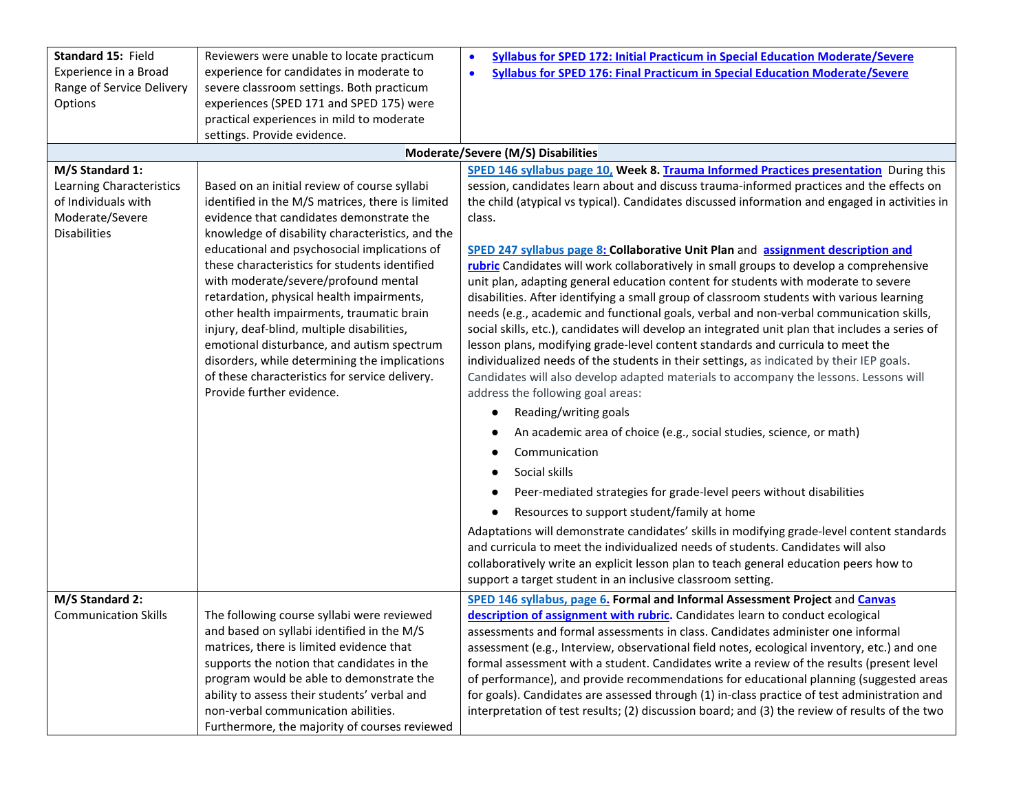| Standard 15: Field          | Reviewers were unable to locate practicum                                   | Syllabus for SPED 172: Initial Practicum in Special Education Moderate/Severe<br>$\bullet$      |
|-----------------------------|-----------------------------------------------------------------------------|-------------------------------------------------------------------------------------------------|
| Experience in a Broad       | experience for candidates in moderate to                                    | <b>Syllabus for SPED 176: Final Practicum in Special Education Moderate/Severe</b><br>$\bullet$ |
| Range of Service Delivery   | severe classroom settings. Both practicum                                   |                                                                                                 |
| Options                     | experiences (SPED 171 and SPED 175) were                                    |                                                                                                 |
|                             | practical experiences in mild to moderate                                   |                                                                                                 |
|                             | settings. Provide evidence.                                                 |                                                                                                 |
|                             |                                                                             | Moderate/Severe (M/S) Disabilities                                                              |
| M/S Standard 1:             |                                                                             | SPED 146 syllabus page 10, Week 8. Trauma Informed Practices presentation During this           |
| Learning Characteristics    | Based on an initial review of course syllabi                                | session, candidates learn about and discuss trauma-informed practices and the effects on        |
| of Individuals with         | identified in the M/S matrices, there is limited                            | the child (atypical vs typical). Candidates discussed information and engaged in activities in  |
| Moderate/Severe             | evidence that candidates demonstrate the                                    | class.                                                                                          |
| <b>Disabilities</b>         | knowledge of disability characteristics, and the                            |                                                                                                 |
|                             | educational and psychosocial implications of                                | SPED 247 syllabus page 8: Collaborative Unit Plan and assignment description and                |
|                             | these characteristics for students identified                               | rubric Candidates will work collaboratively in small groups to develop a comprehensive          |
|                             | with moderate/severe/profound mental                                        | unit plan, adapting general education content for students with moderate to severe              |
|                             | retardation, physical health impairments,                                   | disabilities. After identifying a small group of classroom students with various learning       |
|                             | other health impairments, traumatic brain                                   | needs (e.g., academic and functional goals, verbal and non-verbal communication skills,         |
|                             | injury, deaf-blind, multiple disabilities,                                  | social skills, etc.), candidates will develop an integrated unit plan that includes a series of |
|                             | emotional disturbance, and autism spectrum                                  | lesson plans, modifying grade-level content standards and curricula to meet the                 |
|                             | disorders, while determining the implications                               | individualized needs of the students in their settings, as indicated by their IEP goals.        |
|                             | of these characteristics for service delivery.<br>Provide further evidence. | Candidates will also develop adapted materials to accompany the lessons. Lessons will           |
|                             |                                                                             | address the following goal areas:                                                               |
|                             |                                                                             | Reading/writing goals<br>$\bullet$                                                              |
|                             |                                                                             | An academic area of choice (e.g., social studies, science, or math)                             |
|                             |                                                                             | Communication                                                                                   |
|                             |                                                                             | Social skills                                                                                   |
|                             |                                                                             | Peer-mediated strategies for grade-level peers without disabilities                             |
|                             |                                                                             | Resources to support student/family at home                                                     |
|                             |                                                                             | Adaptations will demonstrate candidates' skills in modifying grade-level content standards      |
|                             |                                                                             | and curricula to meet the individualized needs of students. Candidates will also                |
|                             |                                                                             | collaboratively write an explicit lesson plan to teach general education peers how to           |
|                             |                                                                             | support a target student in an inclusive classroom setting.                                     |
| M/S Standard 2:             |                                                                             | SPED 146 syllabus, page 6. Formal and Informal Assessment Project and Canvas                    |
| <b>Communication Skills</b> | The following course syllabi were reviewed                                  | description of assignment with rubric. Candidates learn to conduct ecological                   |
|                             | and based on syllabi identified in the M/S                                  | assessments and formal assessments in class. Candidates administer one informal                 |
|                             | matrices, there is limited evidence that                                    | assessment (e.g., Interview, observational field notes, ecological inventory, etc.) and one     |
|                             | supports the notion that candidates in the                                  | formal assessment with a student. Candidates write a review of the results (present level       |
|                             | program would be able to demonstrate the                                    | of performance), and provide recommendations for educational planning (suggested areas          |
|                             | ability to assess their students' verbal and                                | for goals). Candidates are assessed through (1) in-class practice of test administration and    |
|                             | non-verbal communication abilities.                                         | interpretation of test results; (2) discussion board; and (3) the review of results of the two  |
|                             | Furthermore, the majority of courses reviewed                               |                                                                                                 |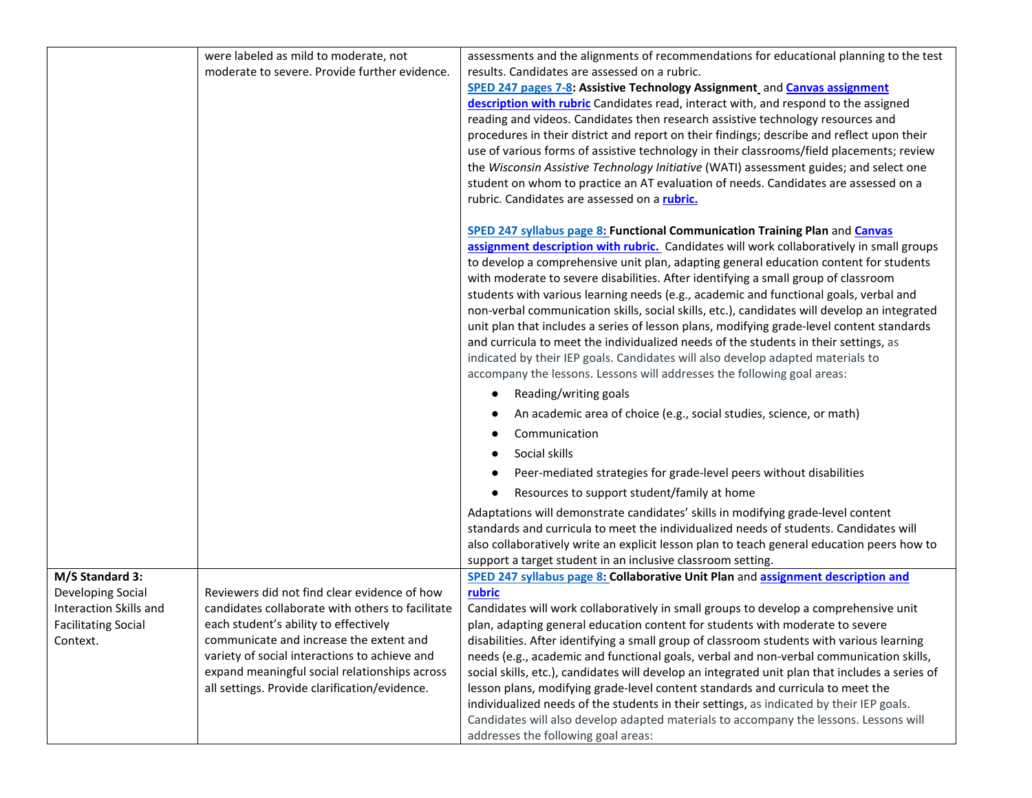| moderate to severe. Provide further evidence.<br>results. Candidates are assessed on a rubric.<br>SPED 247 pages 7-8: Assistive Technology Assignment_and Canvas assignment<br>description with rubric Candidates read, interact with, and respond to the assigned<br>reading and videos. Candidates then research assistive technology resources and<br>procedures in their district and report on their findings; describe and reflect upon their<br>use of various forms of assistive technology in their classrooms/field placements; review<br>the Wisconsin Assistive Technology Initiative (WATI) assessment guides; and select one<br>student on whom to practice an AT evaluation of needs. Candidates are assessed on a | were labeled as mild to moderate, not | assessments and the alignments of recommendations for educational planning to the test          |
|-----------------------------------------------------------------------------------------------------------------------------------------------------------------------------------------------------------------------------------------------------------------------------------------------------------------------------------------------------------------------------------------------------------------------------------------------------------------------------------------------------------------------------------------------------------------------------------------------------------------------------------------------------------------------------------------------------------------------------------|---------------------------------------|-------------------------------------------------------------------------------------------------|
|                                                                                                                                                                                                                                                                                                                                                                                                                                                                                                                                                                                                                                                                                                                                   |                                       |                                                                                                 |
|                                                                                                                                                                                                                                                                                                                                                                                                                                                                                                                                                                                                                                                                                                                                   |                                       |                                                                                                 |
|                                                                                                                                                                                                                                                                                                                                                                                                                                                                                                                                                                                                                                                                                                                                   |                                       |                                                                                                 |
|                                                                                                                                                                                                                                                                                                                                                                                                                                                                                                                                                                                                                                                                                                                                   |                                       |                                                                                                 |
|                                                                                                                                                                                                                                                                                                                                                                                                                                                                                                                                                                                                                                                                                                                                   |                                       |                                                                                                 |
|                                                                                                                                                                                                                                                                                                                                                                                                                                                                                                                                                                                                                                                                                                                                   |                                       |                                                                                                 |
|                                                                                                                                                                                                                                                                                                                                                                                                                                                                                                                                                                                                                                                                                                                                   |                                       |                                                                                                 |
|                                                                                                                                                                                                                                                                                                                                                                                                                                                                                                                                                                                                                                                                                                                                   |                                       |                                                                                                 |
| rubric. Candidates are assessed on a rubric.                                                                                                                                                                                                                                                                                                                                                                                                                                                                                                                                                                                                                                                                                      |                                       |                                                                                                 |
| SPED 247 syllabus page 8: Functional Communication Training Plan and Canvas                                                                                                                                                                                                                                                                                                                                                                                                                                                                                                                                                                                                                                                       |                                       |                                                                                                 |
|                                                                                                                                                                                                                                                                                                                                                                                                                                                                                                                                                                                                                                                                                                                                   |                                       | assignment description with rubric. Candidates will work collaboratively in small groups        |
| to develop a comprehensive unit plan, adapting general education content for students                                                                                                                                                                                                                                                                                                                                                                                                                                                                                                                                                                                                                                             |                                       |                                                                                                 |
| with moderate to severe disabilities. After identifying a small group of classroom                                                                                                                                                                                                                                                                                                                                                                                                                                                                                                                                                                                                                                                |                                       |                                                                                                 |
| students with various learning needs (e.g., academic and functional goals, verbal and                                                                                                                                                                                                                                                                                                                                                                                                                                                                                                                                                                                                                                             |                                       |                                                                                                 |
|                                                                                                                                                                                                                                                                                                                                                                                                                                                                                                                                                                                                                                                                                                                                   |                                       | non-verbal communication skills, social skills, etc.), candidates will develop an integrated    |
| unit plan that includes a series of lesson plans, modifying grade-level content standards                                                                                                                                                                                                                                                                                                                                                                                                                                                                                                                                                                                                                                         |                                       |                                                                                                 |
| and curricula to meet the individualized needs of the students in their settings, as<br>indicated by their IEP goals. Candidates will also develop adapted materials to                                                                                                                                                                                                                                                                                                                                                                                                                                                                                                                                                           |                                       |                                                                                                 |
| accompany the lessons. Lessons will addresses the following goal areas:                                                                                                                                                                                                                                                                                                                                                                                                                                                                                                                                                                                                                                                           |                                       |                                                                                                 |
| Reading/writing goals<br>$\bullet$                                                                                                                                                                                                                                                                                                                                                                                                                                                                                                                                                                                                                                                                                                |                                       |                                                                                                 |
| An academic area of choice (e.g., social studies, science, or math)                                                                                                                                                                                                                                                                                                                                                                                                                                                                                                                                                                                                                                                               |                                       |                                                                                                 |
| Communication                                                                                                                                                                                                                                                                                                                                                                                                                                                                                                                                                                                                                                                                                                                     |                                       |                                                                                                 |
| Social skills                                                                                                                                                                                                                                                                                                                                                                                                                                                                                                                                                                                                                                                                                                                     |                                       |                                                                                                 |
| Peer-mediated strategies for grade-level peers without disabilities                                                                                                                                                                                                                                                                                                                                                                                                                                                                                                                                                                                                                                                               |                                       |                                                                                                 |
| Resources to support student/family at home                                                                                                                                                                                                                                                                                                                                                                                                                                                                                                                                                                                                                                                                                       |                                       |                                                                                                 |
| Adaptations will demonstrate candidates' skills in modifying grade-level content                                                                                                                                                                                                                                                                                                                                                                                                                                                                                                                                                                                                                                                  |                                       |                                                                                                 |
| standards and curricula to meet the individualized needs of students. Candidates will                                                                                                                                                                                                                                                                                                                                                                                                                                                                                                                                                                                                                                             |                                       |                                                                                                 |
|                                                                                                                                                                                                                                                                                                                                                                                                                                                                                                                                                                                                                                                                                                                                   |                                       | also collaboratively write an explicit lesson plan to teach general education peers how to      |
| support a target student in an inclusive classroom setting.                                                                                                                                                                                                                                                                                                                                                                                                                                                                                                                                                                                                                                                                       |                                       |                                                                                                 |
| M/S Standard 3:<br>SPED 247 syllabus page 8: Collaborative Unit Plan and assignment description and                                                                                                                                                                                                                                                                                                                                                                                                                                                                                                                                                                                                                               |                                       |                                                                                                 |
| Reviewers did not find clear evidence of how<br>rubric<br>Developing Social                                                                                                                                                                                                                                                                                                                                                                                                                                                                                                                                                                                                                                                       |                                       |                                                                                                 |
| candidates collaborate with others to facilitate<br>Interaction Skills and<br>Candidates will work collaboratively in small groups to develop a comprehensive unit                                                                                                                                                                                                                                                                                                                                                                                                                                                                                                                                                                |                                       |                                                                                                 |
| each student's ability to effectively<br><b>Facilitating Social</b><br>plan, adapting general education content for students with moderate to severe                                                                                                                                                                                                                                                                                                                                                                                                                                                                                                                                                                              |                                       |                                                                                                 |
| disabilities. After identifying a small group of classroom students with various learning<br>Context.<br>communicate and increase the extent and                                                                                                                                                                                                                                                                                                                                                                                                                                                                                                                                                                                  |                                       |                                                                                                 |
| variety of social interactions to achieve and<br>needs (e.g., academic and functional goals, verbal and non-verbal communication skills,                                                                                                                                                                                                                                                                                                                                                                                                                                                                                                                                                                                          |                                       |                                                                                                 |
| expand meaningful social relationships across                                                                                                                                                                                                                                                                                                                                                                                                                                                                                                                                                                                                                                                                                     |                                       | social skills, etc.), candidates will develop an integrated unit plan that includes a series of |
| all settings. Provide clarification/evidence.<br>lesson plans, modifying grade-level content standards and curricula to meet the                                                                                                                                                                                                                                                                                                                                                                                                                                                                                                                                                                                                  |                                       |                                                                                                 |
| individualized needs of the students in their settings, as indicated by their IEP goals.<br>Candidates will also develop adapted materials to accompany the lessons. Lessons will                                                                                                                                                                                                                                                                                                                                                                                                                                                                                                                                                 |                                       |                                                                                                 |
| addresses the following goal areas:                                                                                                                                                                                                                                                                                                                                                                                                                                                                                                                                                                                                                                                                                               |                                       |                                                                                                 |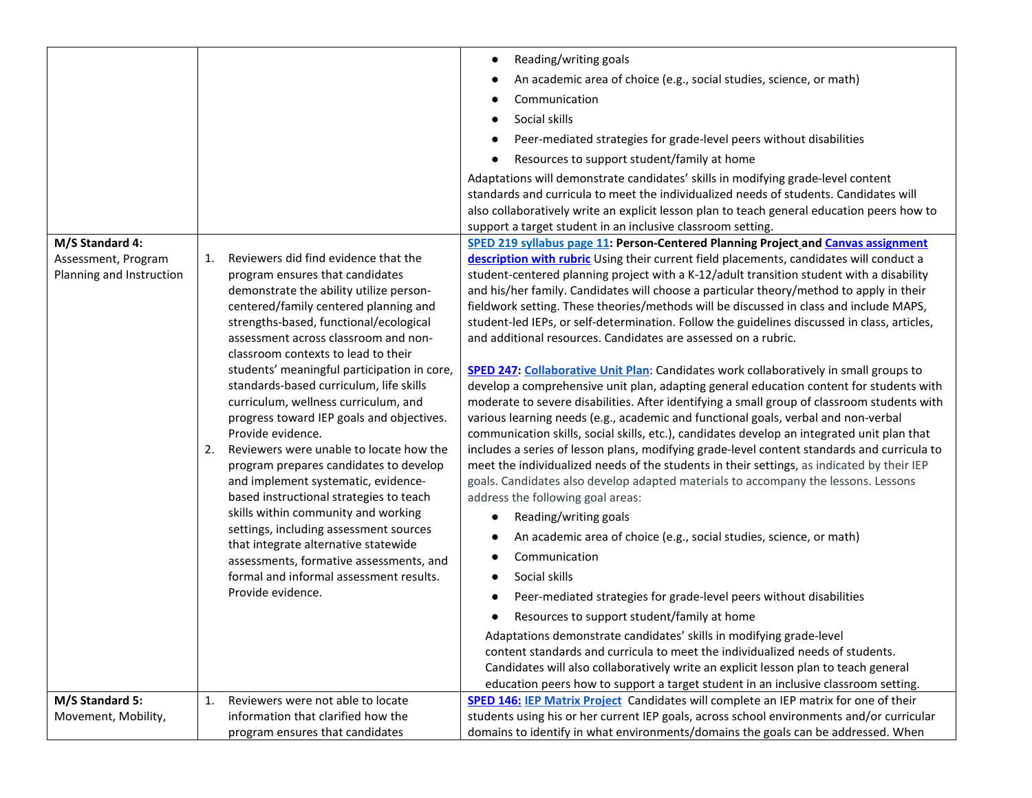|                                                                    |                                                                                                                                                                                                                                                                                                                                                                                                                                                                                                                                                                                                                                                                                                                                                                                                                                                                                                                 | Reading/writing goals<br>$\bullet$<br>An academic area of choice (e.g., social studies, science, or math)<br>Communication<br>Social skills<br>Peer-mediated strategies for grade-level peers without disabilities<br>Resources to support student/family at home<br>Adaptations will demonstrate candidates' skills in modifying grade-level content<br>standards and curricula to meet the individualized needs of students. Candidates will<br>also collaboratively write an explicit lesson plan to teach general education peers how to<br>support a target student in an inclusive classroom setting.                                                                                                                                                                                                                                                                                                                                                                                                                                                                                                                                                                                                                                                                                                                                                                                                                                                                                                                                                                                                                                                                                                                                                                                                                                                                                                                                                                                                                               |
|--------------------------------------------------------------------|-----------------------------------------------------------------------------------------------------------------------------------------------------------------------------------------------------------------------------------------------------------------------------------------------------------------------------------------------------------------------------------------------------------------------------------------------------------------------------------------------------------------------------------------------------------------------------------------------------------------------------------------------------------------------------------------------------------------------------------------------------------------------------------------------------------------------------------------------------------------------------------------------------------------|-------------------------------------------------------------------------------------------------------------------------------------------------------------------------------------------------------------------------------------------------------------------------------------------------------------------------------------------------------------------------------------------------------------------------------------------------------------------------------------------------------------------------------------------------------------------------------------------------------------------------------------------------------------------------------------------------------------------------------------------------------------------------------------------------------------------------------------------------------------------------------------------------------------------------------------------------------------------------------------------------------------------------------------------------------------------------------------------------------------------------------------------------------------------------------------------------------------------------------------------------------------------------------------------------------------------------------------------------------------------------------------------------------------------------------------------------------------------------------------------------------------------------------------------------------------------------------------------------------------------------------------------------------------------------------------------------------------------------------------------------------------------------------------------------------------------------------------------------------------------------------------------------------------------------------------------------------------------------------------------------------------------------------------------|
| M/S Standard 4:<br>Assessment, Program<br>Planning and Instruction | Reviewers did find evidence that the<br>1.<br>program ensures that candidates<br>demonstrate the ability utilize person-<br>centered/family centered planning and<br>strengths-based, functional/ecological<br>assessment across classroom and non-<br>classroom contexts to lead to their<br>students' meaningful participation in core,<br>standards-based curriculum, life skills<br>curriculum, wellness curriculum, and<br>progress toward IEP goals and objectives.<br>Provide evidence.<br>2.<br>Reviewers were unable to locate how the<br>program prepares candidates to develop<br>and implement systematic, evidence-<br>based instructional strategies to teach<br>skills within community and working<br>settings, including assessment sources<br>that integrate alternative statewide<br>assessments, formative assessments, and<br>formal and informal assessment results.<br>Provide evidence. | SPED 219 syllabus page 11: Person-Centered Planning Project and Canvas assignment<br>description with rubric Using their current field placements, candidates will conduct a<br>student-centered planning project with a K-12/adult transition student with a disability<br>and his/her family. Candidates will choose a particular theory/method to apply in their<br>fieldwork setting. These theories/methods will be discussed in class and include MAPS,<br>student-led IEPs, or self-determination. Follow the guidelines discussed in class, articles,<br>and additional resources. Candidates are assessed on a rubric.<br>SPED 247: Collaborative Unit Plan: Candidates work collaboratively in small groups to<br>develop a comprehensive unit plan, adapting general education content for students with<br>moderate to severe disabilities. After identifying a small group of classroom students with<br>various learning needs (e.g., academic and functional goals, verbal and non-verbal<br>communication skills, social skills, etc.), candidates develop an integrated unit plan that<br>includes a series of lesson plans, modifying grade-level content standards and curricula to<br>meet the individualized needs of the students in their settings, as indicated by their IEP<br>goals. Candidates also develop adapted materials to accompany the lessons. Lessons<br>address the following goal areas:<br>Reading/writing goals<br>An academic area of choice (e.g., social studies, science, or math)<br>Communication<br>Social skills<br>$\bullet$<br>Peer-mediated strategies for grade-level peers without disabilities<br>Resources to support student/family at home<br>Adaptations demonstrate candidates' skills in modifying grade-level<br>content standards and curricula to meet the individualized needs of students.<br>Candidates will also collaboratively write an explicit lesson plan to teach general<br>education peers how to support a target student in an inclusive classroom setting. |
| M/S Standard 5:<br>Movement, Mobility,                             | Reviewers were not able to locate<br>1.<br>information that clarified how the<br>program ensures that candidates                                                                                                                                                                                                                                                                                                                                                                                                                                                                                                                                                                                                                                                                                                                                                                                                | SPED 146: IEP Matrix Project Candidates will complete an IEP matrix for one of their<br>students using his or her current IEP goals, across school environments and/or curricular<br>domains to identify in what environments/domains the goals can be addressed. When                                                                                                                                                                                                                                                                                                                                                                                                                                                                                                                                                                                                                                                                                                                                                                                                                                                                                                                                                                                                                                                                                                                                                                                                                                                                                                                                                                                                                                                                                                                                                                                                                                                                                                                                                                    |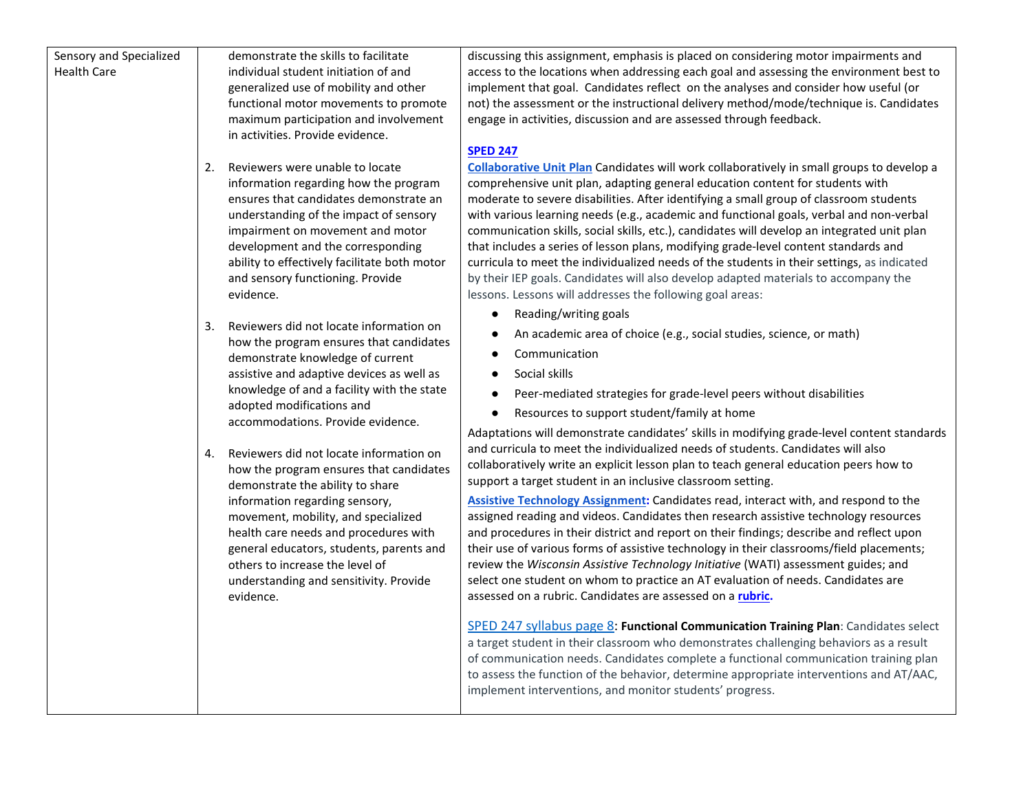| Sensory and Specialized<br><b>Health Care</b> | demonstrate the skills to facilitate<br>individual student initiation of and<br>generalized use of mobility and other<br>functional motor movements to promote<br>maximum participation and involvement<br>in activities. Provide evidence.<br>Reviewers were unable to locate<br>2.<br>information regarding how the program<br>ensures that candidates demonstrate an<br>understanding of the impact of sensory<br>impairment on movement and motor<br>development and the corresponding<br>ability to effectively facilitate both motor<br>and sensory functioning. Provide<br>evidence.<br>Reviewers did not locate information on<br>3.<br>how the program ensures that candidates<br>demonstrate knowledge of current<br>assistive and adaptive devices as well as<br>knowledge of and a facility with the state<br>adopted modifications and<br>accommodations. Provide evidence. | discussing this assignment, emphasis is placed on considering motor impairments and<br>access to the locations when addressing each goal and assessing the environment best to<br>implement that goal. Candidates reflect on the analyses and consider how useful (or<br>not) the assessment or the instructional delivery method/mode/technique is. Candidates<br>engage in activities, discussion and are assessed through feedback.<br><b>SPED 247</b><br><b>Collaborative Unit Plan</b> Candidates will work collaboratively in small groups to develop a<br>comprehensive unit plan, adapting general education content for students with<br>moderate to severe disabilities. After identifying a small group of classroom students<br>with various learning needs (e.g., academic and functional goals, verbal and non-verbal<br>communication skills, social skills, etc.), candidates will develop an integrated unit plan<br>that includes a series of lesson plans, modifying grade-level content standards and<br>curricula to meet the individualized needs of the students in their settings, as indicated<br>by their IEP goals. Candidates will also develop adapted materials to accompany the<br>lessons. Lessons will addresses the following goal areas:<br>Reading/writing goals<br>$\bullet$<br>An academic area of choice (e.g., social studies, science, or math)<br>$\bullet$<br>Communication<br>$\bullet$<br>Social skills<br>$\bullet$<br>Peer-mediated strategies for grade-level peers without disabilities<br>Resources to support student/family at home<br>$\bullet$ |
|-----------------------------------------------|------------------------------------------------------------------------------------------------------------------------------------------------------------------------------------------------------------------------------------------------------------------------------------------------------------------------------------------------------------------------------------------------------------------------------------------------------------------------------------------------------------------------------------------------------------------------------------------------------------------------------------------------------------------------------------------------------------------------------------------------------------------------------------------------------------------------------------------------------------------------------------------|------------------------------------------------------------------------------------------------------------------------------------------------------------------------------------------------------------------------------------------------------------------------------------------------------------------------------------------------------------------------------------------------------------------------------------------------------------------------------------------------------------------------------------------------------------------------------------------------------------------------------------------------------------------------------------------------------------------------------------------------------------------------------------------------------------------------------------------------------------------------------------------------------------------------------------------------------------------------------------------------------------------------------------------------------------------------------------------------------------------------------------------------------------------------------------------------------------------------------------------------------------------------------------------------------------------------------------------------------------------------------------------------------------------------------------------------------------------------------------------------------------------------------------------------------------------------------------------------------|
|                                               | Reviewers did not locate information on<br>4.<br>how the program ensures that candidates<br>demonstrate the ability to share<br>information regarding sensory,<br>movement, mobility, and specialized                                                                                                                                                                                                                                                                                                                                                                                                                                                                                                                                                                                                                                                                                    | Adaptations will demonstrate candidates' skills in modifying grade-level content standards<br>and curricula to meet the individualized needs of students. Candidates will also<br>collaboratively write an explicit lesson plan to teach general education peers how to<br>support a target student in an inclusive classroom setting.<br>Assistive Technology Assignment: Candidates read, interact with, and respond to the<br>assigned reading and videos. Candidates then research assistive technology resources                                                                                                                                                                                                                                                                                                                                                                                                                                                                                                                                                                                                                                                                                                                                                                                                                                                                                                                                                                                                                                                                                |
|                                               | health care needs and procedures with<br>general educators, students, parents and<br>others to increase the level of<br>understanding and sensitivity. Provide<br>evidence.                                                                                                                                                                                                                                                                                                                                                                                                                                                                                                                                                                                                                                                                                                              | and procedures in their district and report on their findings; describe and reflect upon<br>their use of various forms of assistive technology in their classrooms/field placements;<br>review the Wisconsin Assistive Technology Initiative (WATI) assessment guides; and<br>select one student on whom to practice an AT evaluation of needs. Candidates are<br>assessed on a rubric. Candidates are assessed on a rubric.<br>SPED 247 syllabus page 8: Functional Communication Training Plan: Candidates select<br>a target student in their classroom who demonstrates challenging behaviors as a result<br>of communication needs. Candidates complete a functional communication training plan<br>to assess the function of the behavior, determine appropriate interventions and AT/AAC,<br>implement interventions, and monitor students' progress.                                                                                                                                                                                                                                                                                                                                                                                                                                                                                                                                                                                                                                                                                                                                         |
|                                               |                                                                                                                                                                                                                                                                                                                                                                                                                                                                                                                                                                                                                                                                                                                                                                                                                                                                                          |                                                                                                                                                                                                                                                                                                                                                                                                                                                                                                                                                                                                                                                                                                                                                                                                                                                                                                                                                                                                                                                                                                                                                                                                                                                                                                                                                                                                                                                                                                                                                                                                      |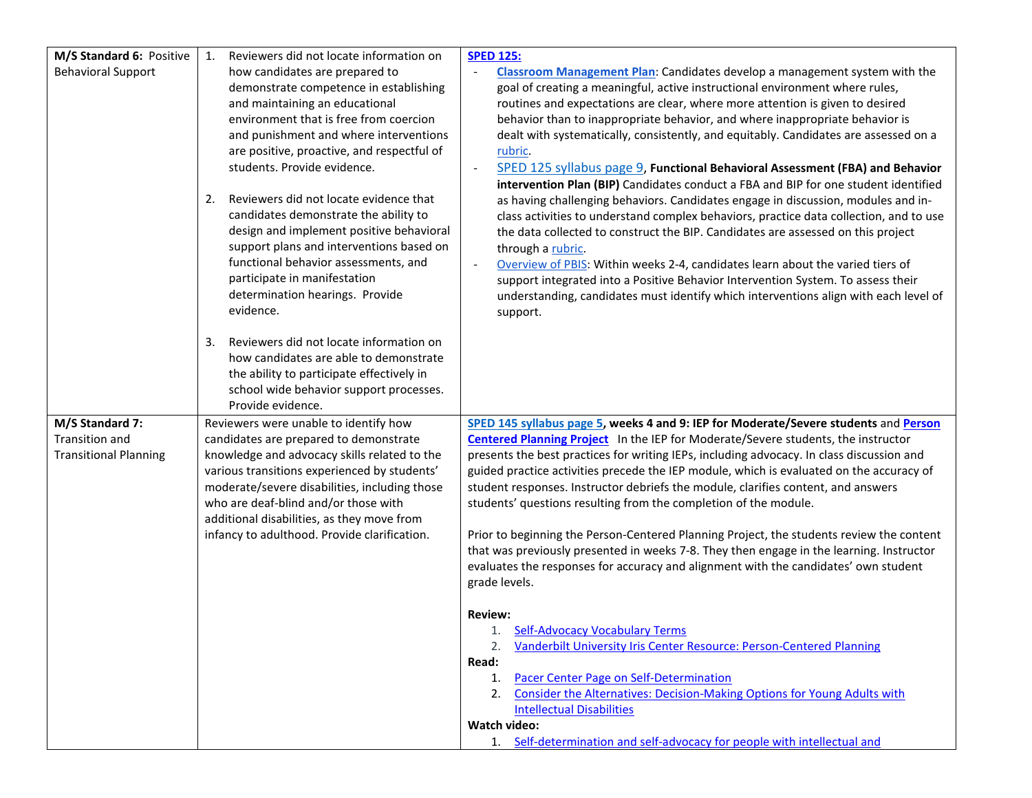| M/S Standard 6: Positive     | Reviewers did not locate information on<br>1.                | <b>SPED 125:</b>                                                                                                                                                            |
|------------------------------|--------------------------------------------------------------|-----------------------------------------------------------------------------------------------------------------------------------------------------------------------------|
| <b>Behavioral Support</b>    | how candidates are prepared to                               | <b>Classroom Management Plan:</b> Candidates develop a management system with the                                                                                           |
|                              | demonstrate competence in establishing                       | goal of creating a meaningful, active instructional environment where rules,                                                                                                |
|                              | and maintaining an educational                               | routines and expectations are clear, where more attention is given to desired                                                                                               |
|                              | environment that is free from coercion                       | behavior than to inappropriate behavior, and where inappropriate behavior is                                                                                                |
|                              | and punishment and where interventions                       | dealt with systematically, consistently, and equitably. Candidates are assessed on a                                                                                        |
|                              | are positive, proactive, and respectful of                   | rubric.                                                                                                                                                                     |
|                              | students. Provide evidence.                                  | SPED 125 syllabus page 9, Functional Behavioral Assessment (FBA) and Behavior                                                                                               |
|                              | Reviewers did not locate evidence that<br>2.                 | intervention Plan (BIP) Candidates conduct a FBA and BIP for one student identified                                                                                         |
|                              | candidates demonstrate the ability to                        | as having challenging behaviors. Candidates engage in discussion, modules and in-<br>class activities to understand complex behaviors, practice data collection, and to use |
|                              | design and implement positive behavioral                     | the data collected to construct the BIP. Candidates are assessed on this project                                                                                            |
|                              | support plans and interventions based on                     | through a rubric.                                                                                                                                                           |
|                              | functional behavior assessments, and                         | Overview of PBIS: Within weeks 2-4, candidates learn about the varied tiers of                                                                                              |
|                              | participate in manifestation                                 | support integrated into a Positive Behavior Intervention System. To assess their                                                                                            |
|                              | determination hearings. Provide                              | understanding, candidates must identify which interventions align with each level of                                                                                        |
|                              | evidence.                                                    | support.                                                                                                                                                                    |
|                              |                                                              |                                                                                                                                                                             |
|                              | Reviewers did not locate information on<br>3.                |                                                                                                                                                                             |
|                              | how candidates are able to demonstrate                       |                                                                                                                                                                             |
|                              | the ability to participate effectively in                    |                                                                                                                                                                             |
|                              | school wide behavior support processes.<br>Provide evidence. |                                                                                                                                                                             |
| M/S Standard 7:              | Reviewers were unable to identify how                        | SPED 145 syllabus page 5, weeks 4 and 9: IEP for Moderate/Severe students and Person                                                                                        |
| Transition and               | candidates are prepared to demonstrate                       | <b>Centered Planning Project</b> In the IEP for Moderate/Severe students, the instructor                                                                                    |
| <b>Transitional Planning</b> | knowledge and advocacy skills related to the                 | presents the best practices for writing IEPs, including advocacy. In class discussion and                                                                                   |
|                              | various transitions experienced by students'                 | guided practice activities precede the IEP module, which is evaluated on the accuracy of                                                                                    |
|                              | moderate/severe disabilities, including those                | student responses. Instructor debriefs the module, clarifies content, and answers                                                                                           |
|                              | who are deaf-blind and/or those with                         | students' questions resulting from the completion of the module.                                                                                                            |
|                              | additional disabilities, as they move from                   |                                                                                                                                                                             |
|                              | infancy to adulthood. Provide clarification.                 | Prior to beginning the Person-Centered Planning Project, the students review the content                                                                                    |
|                              |                                                              | that was previously presented in weeks 7-8. They then engage in the learning. Instructor                                                                                    |
|                              |                                                              | evaluates the responses for accuracy and alignment with the candidates' own student                                                                                         |
|                              |                                                              | grade levels.                                                                                                                                                               |
|                              |                                                              | <b>Review:</b>                                                                                                                                                              |
|                              |                                                              | <b>Self-Advocacy Vocabulary Terms</b>                                                                                                                                       |
|                              |                                                              | Vanderbilt University Iris Center Resource: Person-Centered Planning<br>2.                                                                                                  |
|                              |                                                              | Read:                                                                                                                                                                       |
|                              |                                                              | Pacer Center Page on Self-Determination<br>1.                                                                                                                               |
|                              |                                                              | Consider the Alternatives: Decision-Making Options for Young Adults with<br>2.                                                                                              |
|                              |                                                              | <b>Intellectual Disabilities</b>                                                                                                                                            |
|                              |                                                              | Watch video:                                                                                                                                                                |
|                              |                                                              | 1. Self-determination and self-advocacy for people with intellectual and                                                                                                    |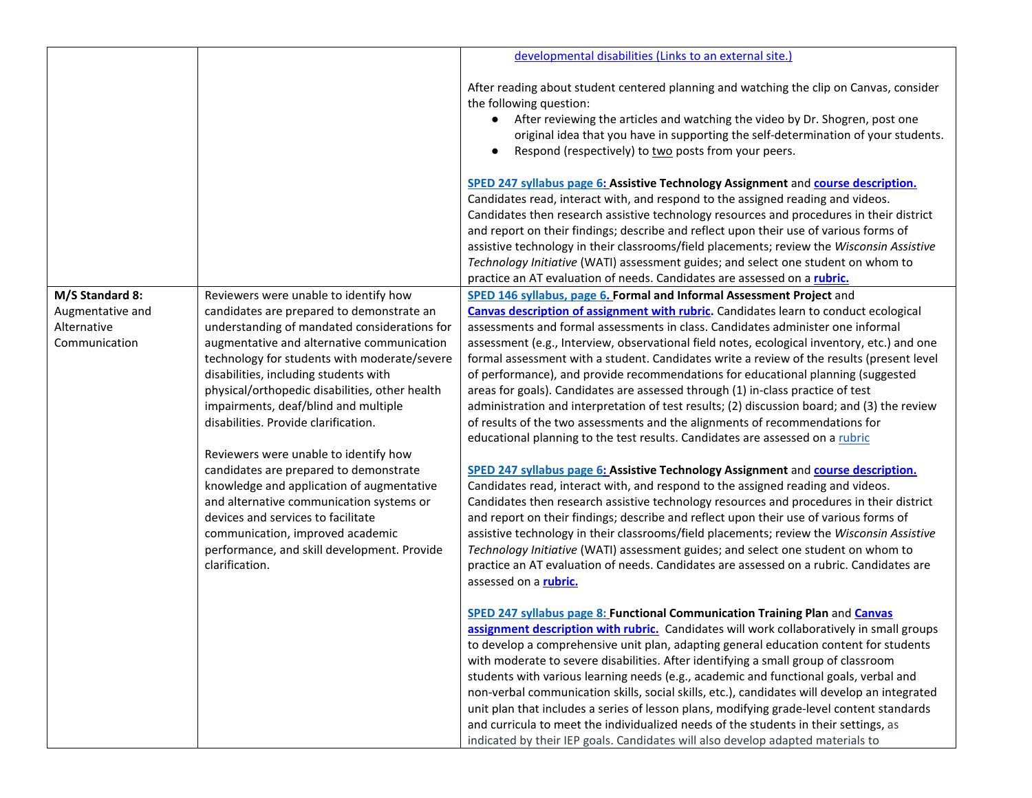|                                                  |                                                                                                                                                                                                                                                                                                                                                                                                                                                                                                                                                                                                                                                                                           | developmental disabilities (Links to an external site.)                                                                                                                                                                                                                                                                                                                                                                                                                                                                                                                                                                                                                                                                                                                                                                                                                                                                                                                                                                                                                                                                                                                                                                                                                                                                                                                                                                                                                             |
|--------------------------------------------------|-------------------------------------------------------------------------------------------------------------------------------------------------------------------------------------------------------------------------------------------------------------------------------------------------------------------------------------------------------------------------------------------------------------------------------------------------------------------------------------------------------------------------------------------------------------------------------------------------------------------------------------------------------------------------------------------|-------------------------------------------------------------------------------------------------------------------------------------------------------------------------------------------------------------------------------------------------------------------------------------------------------------------------------------------------------------------------------------------------------------------------------------------------------------------------------------------------------------------------------------------------------------------------------------------------------------------------------------------------------------------------------------------------------------------------------------------------------------------------------------------------------------------------------------------------------------------------------------------------------------------------------------------------------------------------------------------------------------------------------------------------------------------------------------------------------------------------------------------------------------------------------------------------------------------------------------------------------------------------------------------------------------------------------------------------------------------------------------------------------------------------------------------------------------------------------------|
|                                                  |                                                                                                                                                                                                                                                                                                                                                                                                                                                                                                                                                                                                                                                                                           | After reading about student centered planning and watching the clip on Canvas, consider<br>the following question:<br>After reviewing the articles and watching the video by Dr. Shogren, post one<br>$\bullet$<br>original idea that you have in supporting the self-determination of your students.<br>Respond (respectively) to two posts from your peers.                                                                                                                                                                                                                                                                                                                                                                                                                                                                                                                                                                                                                                                                                                                                                                                                                                                                                                                                                                                                                                                                                                                       |
|                                                  |                                                                                                                                                                                                                                                                                                                                                                                                                                                                                                                                                                                                                                                                                           | SPED 247 syllabus page 6: Assistive Technology Assignment and course description.<br>Candidates read, interact with, and respond to the assigned reading and videos.<br>Candidates then research assistive technology resources and procedures in their district<br>and report on their findings; describe and reflect upon their use of various forms of<br>assistive technology in their classrooms/field placements; review the Wisconsin Assistive<br>Technology Initiative (WATI) assessment guides; and select one student on whom to<br>practice an AT evaluation of needs. Candidates are assessed on a rubric.                                                                                                                                                                                                                                                                                                                                                                                                                                                                                                                                                                                                                                                                                                                                                                                                                                                             |
| M/S Standard 8:                                  | Reviewers were unable to identify how                                                                                                                                                                                                                                                                                                                                                                                                                                                                                                                                                                                                                                                     | SPED 146 syllabus, page 6. Formal and Informal Assessment Project and                                                                                                                                                                                                                                                                                                                                                                                                                                                                                                                                                                                                                                                                                                                                                                                                                                                                                                                                                                                                                                                                                                                                                                                                                                                                                                                                                                                                               |
| Augmentative and<br>Alternative<br>Communication | candidates are prepared to demonstrate an<br>understanding of mandated considerations for<br>augmentative and alternative communication<br>technology for students with moderate/severe<br>disabilities, including students with<br>physical/orthopedic disabilities, other health<br>impairments, deaf/blind and multiple<br>disabilities. Provide clarification.<br>Reviewers were unable to identify how<br>candidates are prepared to demonstrate<br>knowledge and application of augmentative<br>and alternative communication systems or<br>devices and services to facilitate<br>communication, improved academic<br>performance, and skill development. Provide<br>clarification. | <b>Canvas description of assignment with rubric.</b> Candidates learn to conduct ecological<br>assessments and formal assessments in class. Candidates administer one informal<br>assessment (e.g., Interview, observational field notes, ecological inventory, etc.) and one<br>formal assessment with a student. Candidates write a review of the results (present level<br>of performance), and provide recommendations for educational planning (suggested<br>areas for goals). Candidates are assessed through (1) in-class practice of test<br>administration and interpretation of test results; (2) discussion board; and (3) the review<br>of results of the two assessments and the alignments of recommendations for<br>educational planning to the test results. Candidates are assessed on a rubric<br>SPED 247 syllabus page 6: Assistive Technology Assignment and course description.<br>Candidates read, interact with, and respond to the assigned reading and videos.<br>Candidates then research assistive technology resources and procedures in their district<br>and report on their findings; describe and reflect upon their use of various forms of<br>assistive technology in their classrooms/field placements; review the Wisconsin Assistive<br>Technology Initiative (WATI) assessment guides; and select one student on whom to<br>practice an AT evaluation of needs. Candidates are assessed on a rubric. Candidates are<br>assessed on a rubric. |
|                                                  |                                                                                                                                                                                                                                                                                                                                                                                                                                                                                                                                                                                                                                                                                           | SPED 247 syllabus page 8: Functional Communication Training Plan and Canvas<br>assignment description with rubric. Candidates will work collaboratively in small groups<br>to develop a comprehensive unit plan, adapting general education content for students<br>with moderate to severe disabilities. After identifying a small group of classroom<br>students with various learning needs (e.g., academic and functional goals, verbal and<br>non-verbal communication skills, social skills, etc.), candidates will develop an integrated<br>unit plan that includes a series of lesson plans, modifying grade-level content standards<br>and curricula to meet the individualized needs of the students in their settings, as<br>indicated by their IEP goals. Candidates will also develop adapted materials to                                                                                                                                                                                                                                                                                                                                                                                                                                                                                                                                                                                                                                                             |